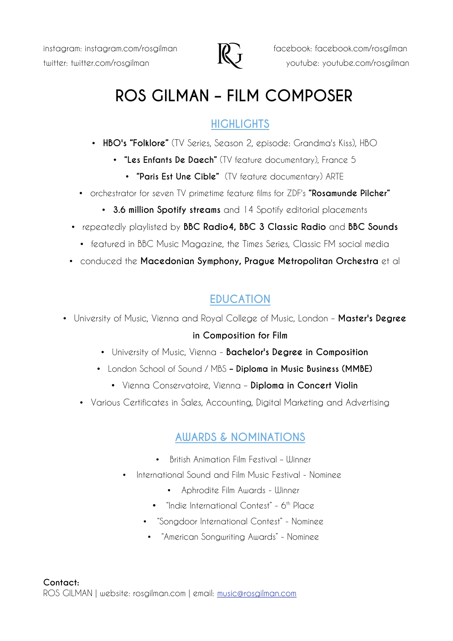

 $\sum$  instagram: instagram.com/rosgilman  $\sum$  facebook: facebook.com/rosgilman twitter: twitter.com/rosgilman **KV** youtube: youtube.com/rosgilman

# **ROS GILMAN – FILM COMPOSER**

## **HIGHLIGHTS**

- **HBO's "Folklore"** (TV Series, Season 2, episode: Grandma's Kiss), HBO
	- **"Les Enfants De Daech"** (TV feature documentary), France 5
		- **"Paris Est Une Cible"** (TV feature documentary) ARTE
- orchestrator for seven TV primetime feature films for ZDF's **"Rosamunde Pilcher"**
	- **3.6 million Spotify streams** and 14 Spotify editorial placements
- repeatedly playlisted by **BBC Radio4, BBC 3 Classic Radio** and **BBC Sounds**
	- featured in BBC Music Magazine, the Times Series, Classic FM social media
- conduced the **Macedonian Symphony, Prague Metropolitan Orchestra** et al

# **EDUCATION**

- University of Music, Vienna and Royal College of Music, London – **Master's Degree in Composition for Film**
	- University of Music, Vienna **Bachelor's Degree in Composition**
	- London School of Sound / MBS **Diploma in Music Business (MMBE)**
		- Vienna Conservatoire, Vienna – **Diploma in Concert Violin**
	- Various Certificates in Sales, Accounting, Digital Marketing and Advertising

## **AWARDS & NOMINATIONS**

- British Animation Film Festival Winner
- International Sound and Film Music Festival Nominee
	- Aphrodite Film Awards Winner
	- "Indie International Contest" 6<sup>th</sup> Place
	- "Songdoor International Contest" Nominee
	- "American Songwriting Awards" Nominee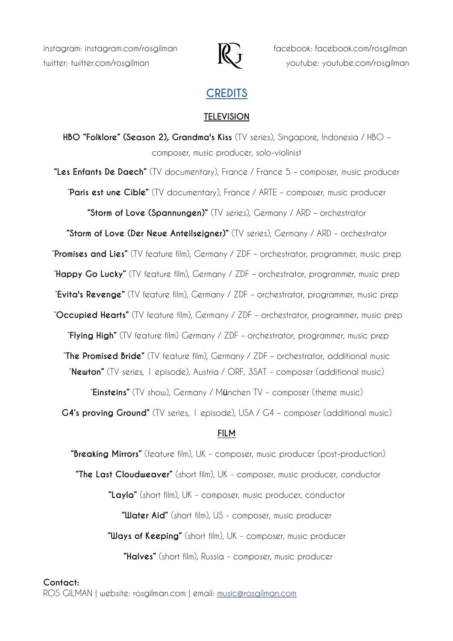

instagram: instagram.com/rosgilman **FALL** facebook: facebook.com/rosgilman twitter: twitter.com/rosgilman **INV** youtube: youtube.com/rosgilman

### **CREDITS**

#### **TELEVISION**

**HBO "Folklore" (Season 2), Grandma's Kiss** (TV series), Singapore, Indonesia / HBO – composer, music producer, solo-violinist

**"Les Enfants De Daech"** (TV documentary), France / France 5 – composer, music producer "**Paris est une Cible"** (TV documentary), France / ARTE – composer, music producer

**"Storm of Love (Spannungen)"** (TV series), Germany / ARD – orchestrator

**"Storm of Love (Der Neue Anteilseigner)"** (TV series), Germany / ARD – orchestrator

"**Promises and Lies"** (TV feature film), Germany / ZDF – orchestrator, programmer, music prep

"**Happy Go Lucky"** (TV feature film), Germany / ZDF – orchestrator, programmer, music prep

"**Evita's Revenge"** (TV feature film), Germany / ZDF – orchestrator, programmer, music prep

"**Occupied Hearts"** (TV feature film), Germany / ZDF – orchestrator, programmer, music prep

"**Flying High"** (TV feature film) Germany / ZDF – orchestrator, programmer, music prep

"**The Promised Bride"** (TV feature film), Germany / ZDF – orchestrator, additional music

"**Newton"** (TV series, 1 episode), Austria / ORF, 3SAT - composer (additional music)

"**Einsteins"** (TV show), Germany / München TV – composer (theme music)

**G4's proving Ground"** (TV series, 1 episode), USA / G4 – composer (additional music)

#### **FILM**

 **"Breaking Mirrors"** (feature film), UK - composer, music producer (post-production)  **"The Last Cloudweaver"** (short film), UK - composer, music producer, conductor **"Layla"** (short film), UK - composer, music producer, conductor  **"Water Aid"** (short film), US - composer, music producer **"Ways of Keeping"** (short film), UK - composer, music producer  **"Halves"** (short film), Russia - composer, music producer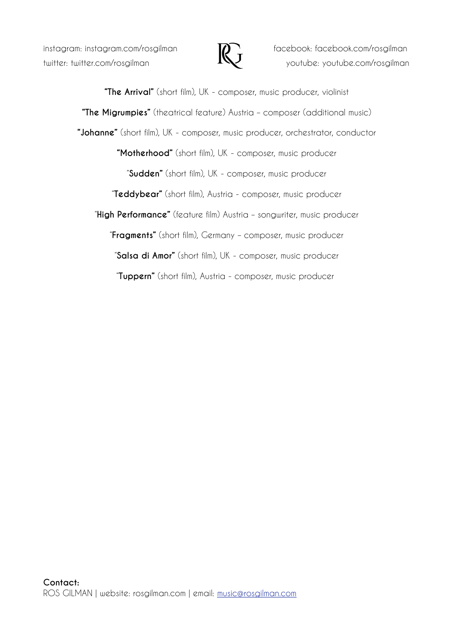$\sum$  instagram: instagram.com/rosgilman  $\sum$  facebook: facebook.com/rosgilman



twitter: twitter.com/rosgilman  $I\setminus$  youtube: youtube.com/rosgilman

**"The Arrival"** (short film), UK - composer, music producer, violinist **"The Migrumpies"** (theatrical feature) Austria – composer (additional music) **"Johanne"** (short film), UK - composer, music producer, orchestrator, conductor **"Motherhood"** (short film), UK - composer, music producer "**Sudden"** (short film), UK - composer, music producer "**Teddybear"** (short film), Austria - composer, music producer "**High Performance"** (feature film) Austria – songwriter, music producer "**Fragments"** (short film), Germany – composer, music producer "**Salsa di Amor"** (short film), UK - composer, music producer "**Tuppern"** (short film), Austria - composer, music producer